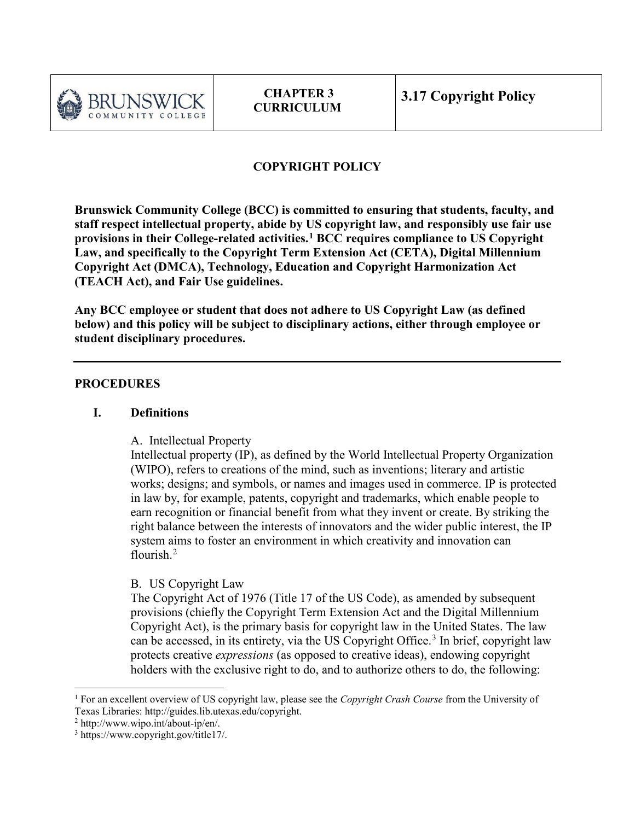

# **COPYRIGHT POLICY**

**Brunswick Community College (BCC) is committed to ensuring that students, faculty, and staff respect intellectual property, abide by US copyright law, and responsibly use fair use provisions in their College-related activities.[1](#page-0-0) BCC requires compliance to US Copyright Law, and specifically to the Copyright Term Extension Act (CETA), Digital Millennium Copyright Act (DMCA), Technology, Education and Copyright Harmonization Act (TEACH Act), and Fair Use guidelines.** 

**Any BCC employee or student that does not adhere to US Copyright Law (as defined below) and this policy will be subject to disciplinary actions, either through employee or student disciplinary procedures.**

#### **PROCEDURES**

#### **I. Definitions**

A. Intellectual Property

Intellectual property (IP), as defined by the World Intellectual Property Organization (WIPO), refers to creations of the mind, such as inventions; literary and artistic works; designs; and symbols, or names and images used in commerce. IP is protected in law by, for example, patents, copyright and trademarks, which enable people to earn recognition or financial benefit from what they invent or create. By striking the right balance between the interests of innovators and the wider public interest, the IP system aims to foster an environment in which creativity and innovation can flourish.<sup>[2](#page-0-1)</sup>

### B. US Copyright Law

The Copyright Act of 1976 (Title 17 of the US Code), as amended by subsequent provisions (chiefly the Copyright Term Extension Act and the Digital Millennium Copyright Act), is the primary basis for copyright law in the United States. The law can be accessed, in its entirety, via the US Copyright Office. [3](#page-0-2) In brief, copyright law protects creative *expressions* (as opposed to creative ideas), endowing copyright holders with the exclusive right to do, and to authorize others to do, the following:

 $\overline{a}$ 

<span id="page-0-0"></span><sup>1</sup> For an excellent overview of US copyright law, please see the *Copyright Crash Course* from the University of Texas Libraries: http://guides.lib.utexas.edu/copyright.

<span id="page-0-1"></span><sup>2</sup> http://www.wipo.int/about-ip/en/.

<span id="page-0-2"></span><sup>3</sup> https://www.copyright.gov/title17/.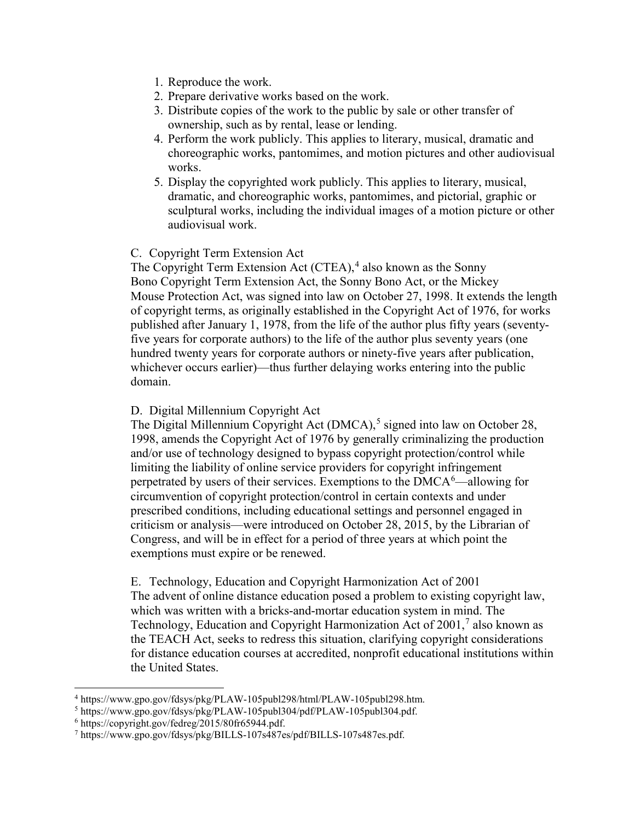- 1. Reproduce the work.
- 2. Prepare derivative works based on the work.
- 3. Distribute copies of the work to the public by sale or other transfer of ownership, such as by rental, lease or lending.
- 4. Perform the work publicly. This applies to literary, musical, dramatic and choreographic works, pantomimes, and motion pictures and other audiovisual works.
- 5. Display the copyrighted work publicly. This applies to literary, musical, dramatic, and choreographic works, pantomimes, and pictorial, graphic or sculptural works, including the individual images of a motion picture or other audiovisual work.

#### C. Copyright Term Extension Act

The Copyright Term Extension Act  $(CTEA)$ , also known as the Sonny [Bono](https://en.wikipedia.org/wiki/Sonny_Bono) Copyright Term Extension Act, the Sonny Bono Act, or the [Mickey](https://en.wikipedia.org/wiki/Mickey_Mouse)  [Mouse](https://en.wikipedia.org/wiki/Mickey_Mouse) Protection Act, was signed into law on October 27, 1998. It extends the length of copyright terms, as originally established in the Copyright Act of 1976, for works published after January 1, 1978, from the life of the author plus fifty years (seventyfive years for corporate authors) to the life of the author plus seventy years (one hundred twenty years for corporate authors or ninety-five years after publication, whichever occurs earlier)—thus further delaying works entering into the public domain.

#### D. Digital Millennium Copyright Act

The Digital Millennium Copyright Act (DMCA),<sup>[5](#page-1-1)</sup> signed into law on October 28, 1998, amends the Copyright Act of 1976 by generally criminalizing the production and/or use of technology designed to bypass copyright protection/control while limiting the liability of online service providers for copyright infringement perpetrated by users of their services. Exemptions to the  $DMCA<sup>6</sup>$  $DMCA<sup>6</sup>$  $DMCA<sup>6</sup>$ —allowing for circumvention of copyright protection/control in certain contexts and under prescribed conditions, including educational settings and personnel engaged in criticism or analysis—were introduced on October 28, 2015, by the Librarian of Congress, and will be in effect for a period of three years at which point the exemptions must expire or be renewed.

E. Technology, Education and Copyright Harmonization Act of 2001 The advent of online distance education posed a problem to existing copyright law, which was written with a bricks-and-mortar education system in mind. The Technology, Education and Copyright Harmonization Act of  $2001$ , also known as the TEACH Act, seeks to redress this situation, clarifying copyright considerations for distance education courses at accredited, nonprofit educational institutions within the United States.

 $\overline{a}$ 

<span id="page-1-0"></span><sup>4</sup> https://www.gpo.gov/fdsys/pkg/PLAW-105publ298/html/PLAW-105publ298.htm.

<span id="page-1-1"></span><sup>5</sup> https://www.gpo.gov/fdsys/pkg/PLAW-105publ304/pdf/PLAW-105publ304.pdf.

<span id="page-1-2"></span><sup>6</sup> https://copyright.gov/fedreg/2015/80fr65944.pdf.

<span id="page-1-3"></span><sup>7</sup> https://www.gpo.gov/fdsys/pkg/BILLS-107s487es/pdf/BILLS-107s487es.pdf.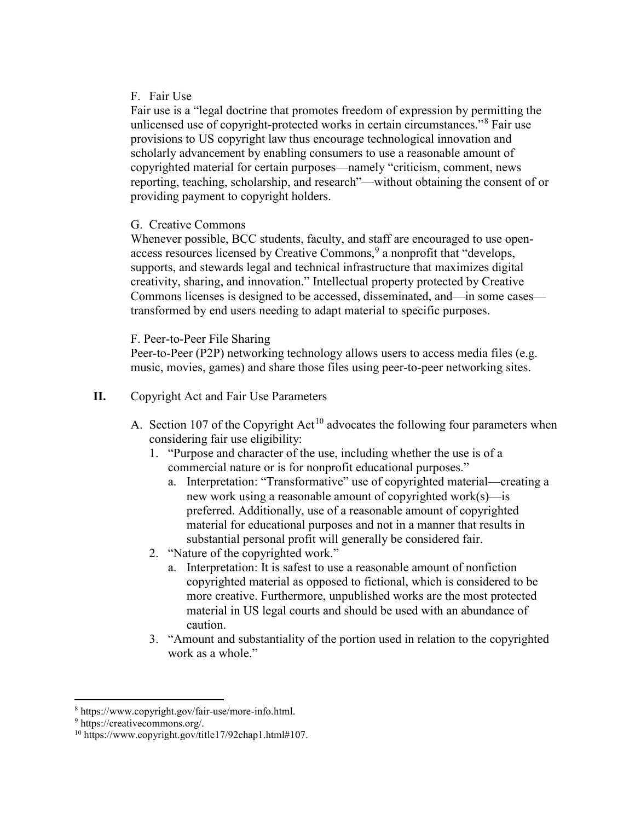### F. Fair Use

Fair use is a "legal doctrine that promotes freedom of expression by permitting the unlicensed use of copyright-protected works in certain circumstances."<sup>[8](#page-2-0)</sup> Fair use provisions to US copyright law thus encourage technological innovation and scholarly advancement by enabling consumers to use a reasonable amount of copyrighted material for certain purposes—namely "criticism, comment, news reporting, teaching, scholarship, and research"—without obtaining the consent of or providing payment to copyright holders.

### G. Creative Commons

Whenever possible, BCC students, faculty, and staff are encouraged to use open-access resources licensed by Creative Commons,<sup>[9](#page-2-1)</sup> a nonprofit that "develops, supports, and stewards legal and technical infrastructure that maximizes digital creativity, sharing, and innovation." Intellectual property protected by Creative Commons licenses is designed to be accessed, disseminated, and—in some cases transformed by end users needing to adapt material to specific purposes.

## F. Peer-to-Peer File Sharing

Peer-to-Peer (P2P) networking technology allows users to access media files (e.g. music, movies, games) and share those files using peer-to-peer networking sites.

## **II.** Copyright Act and Fair Use Parameters

- A. Section [10](#page-2-2)7 of the Copyright  $Act^{10}$  advocates the following four parameters when considering fair use eligibility:
	- 1. "Purpose and character of the use, including whether the use is of a commercial nature or is for nonprofit educational purposes."
		- a. Interpretation: "Transformative" use of copyrighted material—creating a new work using a reasonable amount of copyrighted work(s)—is preferred. Additionally, use of a reasonable amount of copyrighted material for educational purposes and not in a manner that results in substantial personal profit will generally be considered fair.
	- 2. "Nature of the copyrighted work."
		- a. Interpretation: It is safest to use a reasonable amount of nonfiction copyrighted material as opposed to fictional, which is considered to be more creative. Furthermore, unpublished works are the most protected material in US legal courts and should be used with an abundance of caution.
	- 3. "Amount and substantiality of the portion used in relation to the copyrighted work as a whole."

 $\overline{\phantom{a}}$ 

<span id="page-2-0"></span><sup>8</sup> https://www.copyright.gov/fair-use/more-info.html.

<span id="page-2-1"></span><sup>9</sup> [https://creativecommons.org/.](https://creativecommons.org/)

<span id="page-2-2"></span><sup>10</sup> https://www.copyright.gov/title17/92chap1.html#107.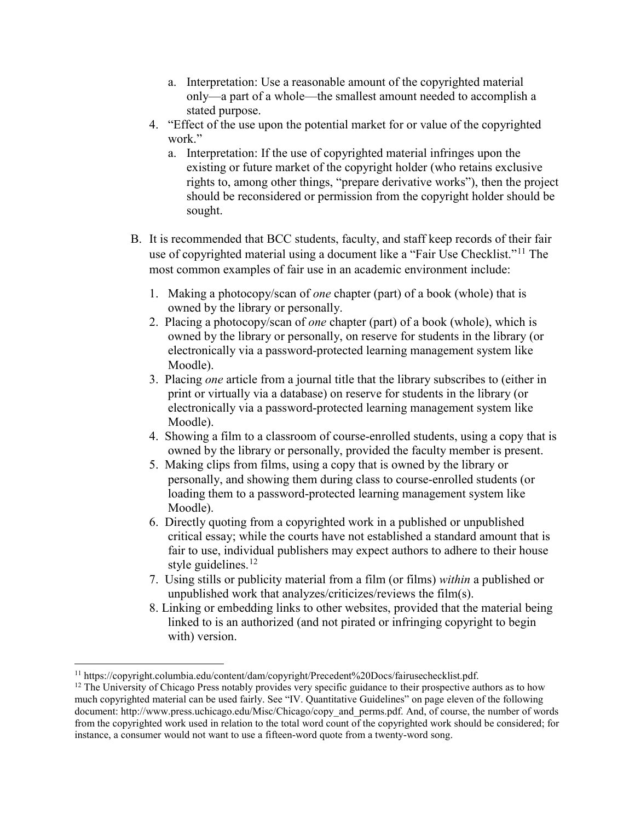- a. Interpretation: Use a reasonable amount of the copyrighted material only—a part of a whole—the smallest amount needed to accomplish a stated purpose.
- 4. "Effect of the use upon the potential market for or value of the copyrighted work."
	- a. Interpretation: If the use of copyrighted material infringes upon the existing or future market of the copyright holder (who retains exclusive rights to, among other things, "prepare derivative works"), then the project should be reconsidered or permission from the copyright holder should be sought.
- B. It is recommended that BCC students, faculty, and staff keep records of their fair use of copyrighted material using a document like a "Fair Use Checklist."[11](#page-3-0) The most common examples of fair use in an academic environment include:
	- 1. Making a photocopy/scan of *one* chapter (part) of a book (whole) that is owned by the library or personally.
	- 2. Placing a photocopy/scan of *one* chapter (part) of a book (whole), which is owned by the library or personally, on reserve for students in the library (or electronically via a password-protected learning management system like Moodle).
	- 3. Placing *one* article from a journal title that the library subscribes to (either in print or virtually via a database) on reserve for students in the library (or electronically via a password-protected learning management system like Moodle).
	- 4. Showing a film to a classroom of course-enrolled students, using a copy that is owned by the library or personally, provided the faculty member is present.
	- 5. Making clips from films, using a copy that is owned by the library or personally, and showing them during class to course-enrolled students (or loading them to a password-protected learning management system like Moodle).
	- 6. Directly quoting from a copyrighted work in a published or unpublished critical essay; while the courts have not established a standard amount that is fair to use, individual publishers may expect authors to adhere to their house style guidelines. $12$
	- 7. Using stills or publicity material from a film (or films) *within* a published or unpublished work that analyzes/criticizes/reviews the film(s).
	- 8. Linking or embedding links to other websites, provided that the material being linked to is an authorized (and not pirated or infringing copyright to begin with) version.

l <sup>11</sup> https://copyright.columbia.edu/content/dam/copyright/Precedent%20Docs/fairusechecklist.pdf.

<span id="page-3-1"></span><span id="page-3-0"></span> $12$  The University of Chicago Press notably provides very specific guidance to their prospective authors as to how much copyrighted material can be used fairly. See "IV. Quantitative Guidelines" on page eleven of the following document: http://www.press.uchicago.edu/Misc/Chicago/copy\_and\_perms.pdf. And, of course, the number of words from the copyrighted work used in relation to the total word count of the copyrighted work should be considered; for instance, a consumer would not want to use a fifteen-word quote from a twenty-word song.